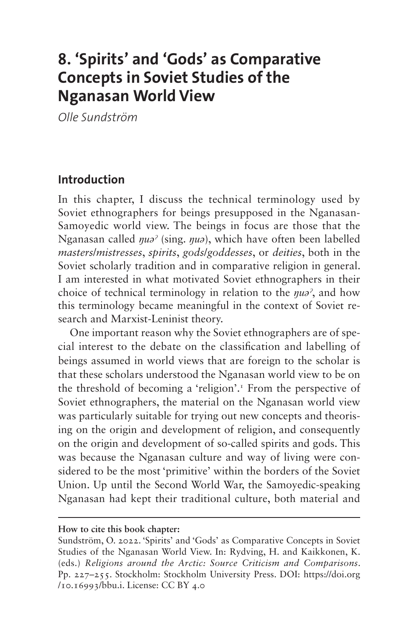# **8. 'Spirits' and 'Gods' as Comparative Concepts in Soviet Studies of the Nganasan World View**

*Olle Sundström*

#### **Introduction**

In this chapter, I discuss the technical terminology used by Soviet ethnographers for beings presupposed in the Nganasan-Samoyedic world view. The beings in focus are those that the Nganasan called *ŋuəˀ* (sing. *ŋuə*), which have often been labelled *masters*/*mistresses*, *spirits*, *gods*/*goddesses*, or *deities*, both in the Soviet scholarly tradition and in comparative religion in general. I am interested in what motivated Soviet ethnographers in their choice of technical terminology in relation to the *ŋuəˀ*, and how this terminology became meaningful in the context of Soviet research and Marxist-Leninist theory.

One important reason why the Soviet ethnographers are of special interest to the debate on the classification and labelling of beings assumed in world views that are foreign to the scholar is that these scholars understood the Nganasan world view to be on the threshold of becoming a 'religion'[.1](#page-20-0) From the perspective of Soviet ethnographers, the material on the Nganasan world view was particularly suitable for trying out new concepts and theorising on the origin and development of religion, and consequently on the origin and development of so-called spirits and gods. This was because the Nganasan culture and way of living were considered to be the most 'primitive' within the borders of the Soviet Union. Up until the Second World War, the Samoyedic-speaking Nganasan had kept their traditional culture, both material and

#### **How to cite this book chapter:**

Sundström, O. 2022. 'Spirits' and 'Gods' as Comparative Concepts in Soviet Studies of the Nganasan World View. In: Rydving, H. and Kaikkonen, K. (eds.) *Religions around the Arctic: Source Criticism and Comparisons*. Pp. 227–255. Stockholm: Stockholm University Press. DOI: [https://doi.org](https://doi.org/10.16993/bbu.i) [/10.16993/bbu.i](https://doi.org/10.16993/bbu.i). License: CC BY 4.0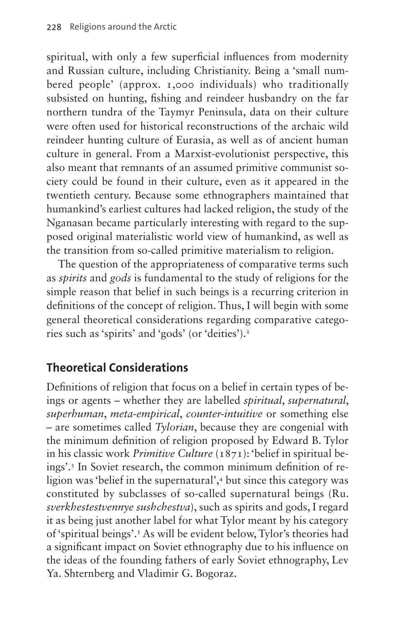spiritual, with only a few superficial influences from modernity and Russian culture, including Christianity. Being a 'small numbered people' (approx. 1,000 individuals) who traditionally subsisted on hunting, fishing and reindeer husbandry on the far northern tundra of the Taymyr Peninsula, data on their culture were often used for historical reconstructions of the archaic wild reindeer hunting culture of Eurasia, as well as of ancient human culture in general. From a Marxist-evolutionist perspective, this also meant that remnants of an assumed primitive communist society could be found in their culture, even as it appeared in the twentieth century. Because some ethnographers maintained that humankind's earliest cultures had lacked religion, the study of the Nganasan became particularly interesting with regard to the supposed original materialistic world view of humankind, as well as the transition from so-called primitive materialism to religion.

The question of the appropriateness of comparative terms such as *spirits* and *gods* is fundamental to the study of religions for the simple reason that belief in such beings is a recurring criterion in definitions of the concept of religion. Thus, I will begin with some general theoretical considerations regarding comparative categories such as 'spirits' and 'gods' (or 'deities')[.2](#page-20-1)

### **Theoretical Considerations**

Definitions of religion that focus on a belief in certain types of beings or agents – whether they are labelled *spiritual*, *supernatural*, *superhuman*, *meta-empirical*, *counter-intuitive* or something else – are sometimes called *Tylorian*, because they are congenial with the minimum definition of religion proposed by Edward B. Tylor in his classic work *Primitive Culture* (1871): 'belief in spiritual beings'[.3](#page-20-2) In Soviet research, the common minimum definition of religion was 'belief in the supernatural'[,4](#page-20-3) but since this category was constituted by subclasses of so-called supernatural beings (Ru. *sverkhestestvennye sushchestva*), such as spirits and gods, I regard it as being just another label for what Tylor meant by his category of 'spiritual beings'.[5](#page-20-4) As will be evident below, Tylor's theories had a significant impact on Soviet ethnography due to his influence on the ideas of the founding fathers of early Soviet ethnography, Lev Ya. Shternberg and Vladimir G. Bogoraz.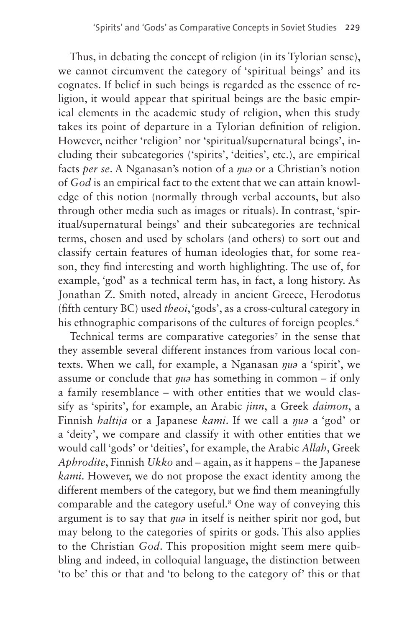Thus, in debating the concept of religion (in its Tylorian sense), we cannot circumvent the category of 'spiritual beings' and its cognates. If belief in such beings is regarded as the essence of religion, it would appear that spiritual beings are the basic empirical elements in the academic study of religion, when this study takes its point of departure in a Tylorian definition of religion. However, neither 'religion' nor 'spiritual/supernatural beings', including their subcategories ('spirits', 'deities', etc.), are empirical facts *per se*. A Nganasan's notion of a *ŋuə* or a Christian's notion of *God* is an empirical fact to the extent that we can attain knowledge of this notion (normally through verbal accounts, but also through other media such as images or rituals). In contrast, 'spiritual/supernatural beings' and their subcategories are technical terms, chosen and used by scholars (and others) to sort out and classify certain features of human ideologies that, for some reason, they find interesting and worth highlighting. The use of, for example, 'god' as a technical term has, in fact, a long history. As Jonathan Z. Smith noted, already in ancient Greece, Herodotus (fifth century BC) used *theoi*, 'gods', as a cross-cultural category in his ethnographic comparisons of the cultures of foreign peoples.<sup>[6](#page-21-0)</sup>

Technical terms are comparative categories<sup>[7](#page-21-1)</sup> in the sense that they assemble several different instances from various local contexts. When we call, for example, a Nganasan *ŋuə* a 'spirit', we assume or conclude that *ŋuə* has something in common – if only a family resemblance – with other entities that we would classify as 'spirits', for example, an Arabic *jinn*, a Greek *daimon*, a Finnish *haltija* or a Japanese *kami*. If we call a *ŋuə* a 'god' or a 'deity', we compare and classify it with other entities that we would call 'gods' or 'deities', for example, the Arabic *Allah*, Greek *Aphrodite*, Finnish *Ukko* and – again, as it happens – the Japanese *kami*. However, we do not propose the exact identity among the different members of the category, but we find them meaningfully comparable and the category useful[.8](#page-21-2) One way of conveying this argument is to say that *ŋuə* in itself is neither spirit nor god, but may belong to the categories of spirits or gods. This also applies to the Christian *God*. This proposition might seem mere quibbling and indeed, in colloquial language, the distinction between 'to be' this or that and 'to belong to the category of' this or that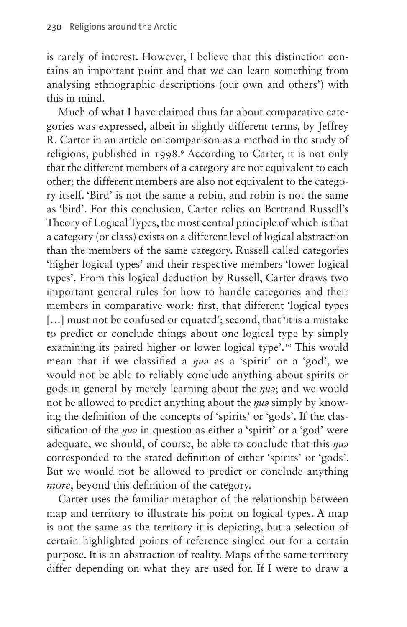is rarely of interest. However, I believe that this distinction contains an important point and that we can learn something from analysing ethnographic descriptions (our own and others') with this in mind.

Much of what I have claimed thus far about comparative categories was expressed, albeit in slightly different terms, by Jeffrey R. Carter in an article on comparison as a method in the study of religions, published in 1998.<sup>9</sup> According to Carter, it is not only that the different members of a category are not equivalent to each other; the different members are also not equivalent to the category itself. 'Bird' is not the same a robin, and robin is not the same as 'bird'. For this conclusion, Carter relies on Bertrand Russell's Theory of Logical Types, the most central principle of which is that a category (or class) exists on a different level of logical abstraction than the members of the same category. Russell called categories 'higher logical types' and their respective members 'lower logical types'. From this logical deduction by Russell, Carter draws two important general rules for how to handle categories and their members in comparative work: first, that different 'logical types [...] must not be confused or equated'; second, that 'it is a mistake to predict or conclude things about one logical type by simply examining its paired higher or lower logical type'.<sup>[10](#page-22-0)</sup> This would mean that if we classified a *ŋuə* as a 'spirit' or a 'god', we would not be able to reliably conclude anything about spirits or gods in general by merely learning about the *ŋuə*; and we would not be allowed to predict anything about the *ŋuə* simply by knowing the definition of the concepts of 'spirits' or 'gods'. If the classification of the *nua* in question as either a 'spirit' or a 'god' were adequate, we should, of course, be able to conclude that this *ŋuə* corresponded to the stated definition of either 'spirits' or 'gods'. But we would not be allowed to predict or conclude anything *more*, beyond this definition of the category.

Carter uses the familiar metaphor of the relationship between map and territory to illustrate his point on logical types. A map is not the same as the territory it is depicting, but a selection of certain highlighted points of reference singled out for a certain purpose. It is an abstraction of reality. Maps of the same territory differ depending on what they are used for. If I were to draw a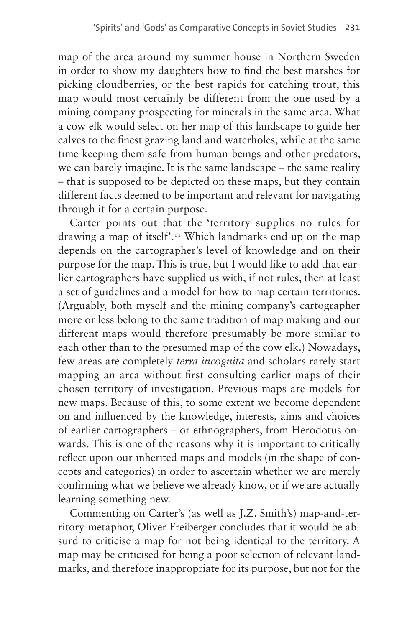map of the area around my summer house in Northern Sweden in order to show my daughters how to find the best marshes for picking cloudberries, or the best rapids for catching trout, this map would most certainly be different from the one used by a mining company prospecting for minerals in the same area. What a cow elk would select on her map of this landscape to guide her calves to the finest grazing land and waterholes, while at the same time keeping them safe from human beings and other predators, we can barely imagine. It is the same landscape – the same reality – that is supposed to be depicted on these maps, but they contain different facts deemed to be important and relevant for navigating through it for a certain purpose.

Carter points out that the 'territory supplies no rules for drawing a map of itself'.[11](#page-22-1) Which landmarks end up on the map depends on the cartographer's level of knowledge and on their purpose for the map. This is true, but I would like to add that earlier cartographers have supplied us with, if not rules, then at least a set of guidelines and a model for how to map certain territories. (Arguably, both myself and the mining company's cartographer more or less belong to the same tradition of map making and our different maps would therefore presumably be more similar to each other than to the presumed map of the cow elk.) Nowadays, few areas are completely *terra incognita* and scholars rarely start mapping an area without first consulting earlier maps of their chosen territory of investigation. Previous maps are models for new maps. Because of this, to some extent we become dependent on and influenced by the knowledge, interests, aims and choices of earlier cartographers – or ethnographers, from Herodotus onwards. This is one of the reasons why it is important to critically reflect upon our inherited maps and models (in the shape of concepts and categories) in order to ascertain whether we are merely confirming what we believe we already know, or if we are actually learning something new.

Commenting on Carter's (as well as J.Z. Smith's) map-and-territory-metaphor, Oliver Freiberger concludes that it would be absurd to criticise a map for not being identical to the territory. A map may be criticised for being a poor selection of relevant landmarks, and therefore inappropriate for its purpose, but not for the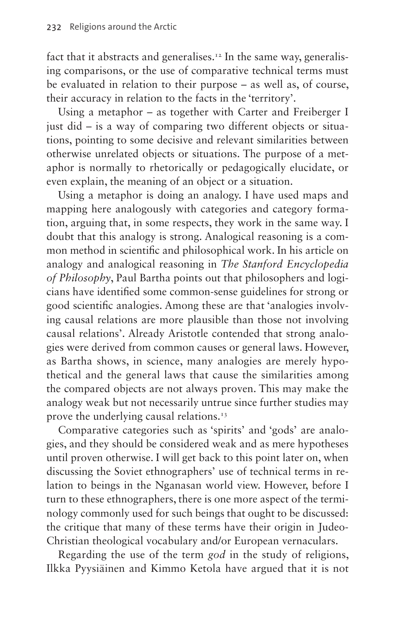fact that it abstracts and generalises.<sup>[12](#page-22-2)</sup> In the same way, generalising comparisons, or the use of comparative technical terms must be evaluated in relation to their purpose – as well as, of course, their accuracy in relation to the facts in the 'territory'.

Using a metaphor – as together with Carter and Freiberger I just did – is a way of comparing two different objects or situations, pointing to some decisive and relevant similarities between otherwise unrelated objects or situations. The purpose of a metaphor is normally to rhetorically or pedagogically elucidate, or even explain, the meaning of an object or a situation.

Using a metaphor is doing an analogy. I have used maps and mapping here analogously with categories and category formation, arguing that, in some respects, they work in the same way. I doubt that this analogy is strong. Analogical reasoning is a common method in scientific and philosophical work. In his article on analogy and analogical reasoning in *The Stanford Encyclopedia of Philosophy*, Paul Bartha points out that philosophers and logicians have identified some common-sense guidelines for strong or good scientific analogies. Among these are that 'analogies involving causal relations are more plausible than those not involving causal relations'. Already Aristotle contended that strong analogies were derived from common causes or general laws. However, as Bartha shows, in science, many analogies are merely hypothetical and the general laws that cause the similarities among the compared objects are not always proven. This may make the analogy weak but not necessarily untrue since further studies may prove the underlying causal relations.<sup>13</sup>

Comparative categories such as 'spirits' and 'gods' are analogies, and they should be considered weak and as mere hypotheses until proven otherwise. I will get back to this point later on, when discussing the Soviet ethnographers' use of technical terms in relation to beings in the Nganasan world view. However, before I turn to these ethnographers, there is one more aspect of the terminology commonly used for such beings that ought to be discussed: the critique that many of these terms have their origin in Judeo-Christian theological vocabulary and/or European vernaculars.

Regarding the use of the term *god* in the study of religions, Ilkka Pyysiäinen and Kimmo Ketola have argued that it is not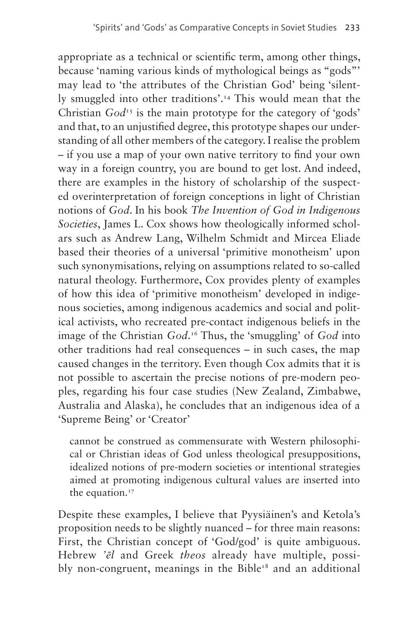appropriate as a technical or scientific term, among other things, because 'naming various kinds of mythological beings as "gods"' may lead to 'the attributes of the Christian God' being 'silently smuggled into other traditions'.<sup>14</sup> This would mean that the Christian  $God<sup>T5</sup>$  is the main prototype for the category of 'gods' and that, to an unjustified degree, this prototype shapes our understanding of all other members of the category. I realise the problem – if you use a map of your own native territory to find your own way in a foreign country, you are bound to get lost. And indeed, there are examples in the history of scholarship of the suspected overinterpretation of foreign conceptions in light of Christian notions of *God*. In his book *The Invention of God in Indigenous Societies*, James L. Cox shows how theologically informed scholars such as Andrew Lang, Wilhelm Schmidt and Mircea Eliade based their theories of a universal 'primitive monotheism' upon such synonymisations, relying on assumptions related to so-called natural theology. Furthermore, Cox provides plenty of examples of how this idea of 'primitive monotheism' developed in indigenous societies, among indigenous academics and social and political activists, who recreated pre-contact indigenous beliefs in the image of the Christian *God*. [16](#page-22-6) Thus, the 'smuggling' of *God* into other traditions had real consequences – in such cases, the map caused changes in the territory. Even though Cox admits that it is not possible to ascertain the precise notions of pre-modern peoples, regarding his four case studies (New Zealand, Zimbabwe, Australia and Alaska), he concludes that an indigenous idea of a 'Supreme Being' or 'Creator'

cannot be construed as commensurate with Western philosophical or Christian ideas of God unless theological presuppositions, idealized notions of pre-modern societies or intentional strategies aimed at promoting indigenous cultural values are inserted into the equation.<sup>[17](#page-22-7)</sup>

Despite these examples, I believe that Pyysiäinen's and Ketola's proposition needs to be slightly nuanced – for three main reasons: First, the Christian concept of 'God/god' is quite ambiguous. Hebrew *'ēl* and Greek *theos* already have multiple, possibly non-congruent, meanings in the Bible<sup>18</sup> and an additional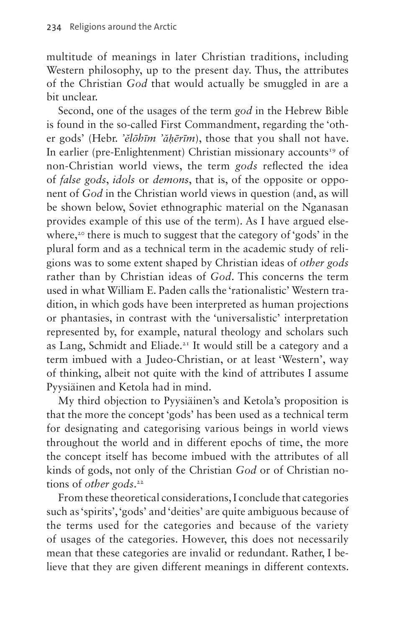multitude of meanings in later Christian traditions, including Western philosophy, up to the present day. Thus, the attributes of the Christian *God* that would actually be smuggled in are a bit unclear.

Second, one of the usages of the term *god* in the Hebrew Bible is found in the so-called First Commandment, regarding the 'other gods' (Hebr. *'ĕlōhīm 'ăḥērīm*), those that you shall not have. In earlier (pre-Enlightenment) Christian missionary accounts<sup>19</sup> of non-Christian world views, the term *gods* reflected the idea of *false gods*, *idols* or *demons*, that is, of the opposite or opponent of *God* in the Christian world views in question (and, as will be shown below, Soviet ethnographic material on the Nganasan provides example of this use of the term). As I have argued else-where,<sup>[20](#page-23-0)</sup> there is much to suggest that the category of 'gods' in the plural form and as a technical term in the academic study of religions was to some extent shaped by Christian ideas of *other gods* rather than by Christian ideas of *God*. This concerns the term used in what William E. Paden calls the 'rationalistic' Western tradition, in which gods have been interpreted as human projections or phantasies, in contrast with the 'universalistic' interpretation represented by, for example, natural theology and scholars such as Lang, Schmidt and Eliade[.21](#page-23-1) It would still be a category and a term imbued with a Judeo-Christian, or at least 'Western', way of thinking, albeit not quite with the kind of attributes I assume Pyysiäinen and Ketola had in mind.

My third objection to Pyysiäinen's and Ketola's proposition is that the more the concept 'gods' has been used as a technical term for designating and categorising various beings in world views throughout the world and in different epochs of time, the more the concept itself has become imbued with the attributes of all kinds of gods, not only of the Christian *God* or of Christian notions of *other gods*. [22](#page-23-2)

From these theoretical considerations, I conclude that categories such as 'spirits', 'gods' and 'deities' are quite ambiguous because of the terms used for the categories and because of the variety of usages of the categories. However, this does not necessarily mean that these categories are invalid or redundant. Rather, I believe that they are given different meanings in different contexts.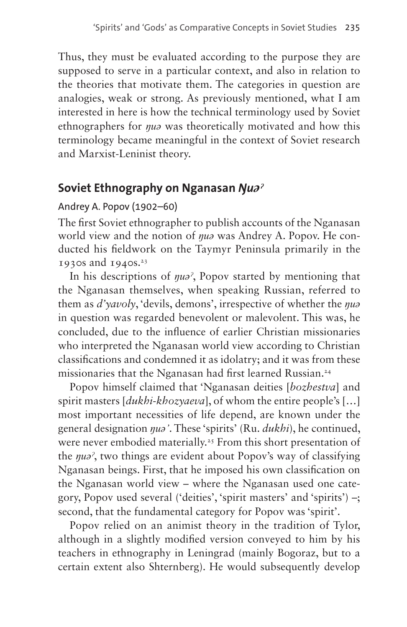Thus, they must be evaluated according to the purpose they are supposed to serve in a particular context, and also in relation to the theories that motivate them. The categories in question are analogies, weak or strong. As previously mentioned, what I am interested in here is how the technical terminology used by Soviet ethnographers for *ŋuə* was theoretically motivated and how this terminology became meaningful in the context of Soviet research and Marxist-Leninist theory.

### **Soviet Ethnography on Nganasan** *Ŋuǝˀ*

#### Andrey A. Popov (1902–60)

The first Soviet ethnographer to publish accounts of the Nganasan world view and the notion of *ŋuə* was Andrey A. Popov. He conducted his fieldwork on the Taymyr Peninsula primarily in the 1930s and  $1940s.^{23}$ 

In his descriptions of *ŋuəˀ*, Popov started by mentioning that the Nganasan themselves, when speaking Russian, referred to them as *d'yavoly*, 'devils, demons', irrespective of whether the *ŋuə* in question was regarded benevolent or malevolent. This was, he concluded, due to the influence of earlier Christian missionaries who interpreted the Nganasan world view according to Christian classifications and condemned it as idolatry; and it was from these missionaries that the Nganasan had first learned Russian[.24](#page-23-4)

Popov himself claimed that 'Nganasan deities [*bozhestva*] and spirit masters [*dukhi-khozyaeva*], of whom the entire people's […] most important necessities of life depend, are known under the general designation *ŋuə'*. These 'spirits' (Ru. *dukhi*), he continued, were never embodied materially.<sup>25</sup> From this short presentation of the *ŋuəˀ*, two things are evident about Popov's way of classifying Nganasan beings. First, that he imposed his own classification on the Nganasan world view – where the Nganasan used one category, Popov used several ('deities', 'spirit masters' and 'spirits') –; second, that the fundamental category for Popov was 'spirit'.

Popov relied on an animist theory in the tradition of Tylor, although in a slightly modified version conveyed to him by his teachers in ethnography in Leningrad (mainly Bogoraz, but to a certain extent also Shternberg). He would subsequently develop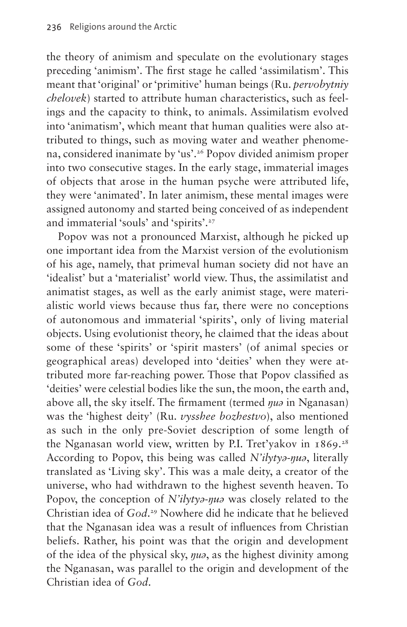the theory of animism and speculate on the evolutionary stages preceding 'animism'. The first stage he called 'assimilatism'. This meant that 'original' or 'primitive' human beings (Ru. *pervobytniy chelovek*) started to attribute human characteristics, such as feelings and the capacity to think, to animals. Assimilatism evolved into 'animatism', which meant that human qualities were also attributed to things, such as moving water and weather phenomena, considered inanimate by 'us'.[26](#page-23-6) Popov divided animism proper into two consecutive stages. In the early stage, immaterial images of objects that arose in the human psyche were attributed life, they were 'animated'. In later animism, these mental images were assigned autonomy and started being conceived of as independent and immaterial 'souls' and 'spirits'.<sup>27</sup>

Popov was not a pronounced Marxist, although he picked up one important idea from the Marxist version of the evolutionism of his age, namely, that primeval human society did not have an 'idealist' but a 'materialist' world view. Thus, the assimilatist and animatist stages, as well as the early animist stage, were materialistic world views because thus far, there were no conceptions of autonomous and immaterial 'spirits', only of living material objects. Using evolutionist theory, he claimed that the ideas about some of these 'spirits' or 'spirit masters' (of animal species or geographical areas) developed into 'deities' when they were attributed more far-reaching power. Those that Popov classified as 'deities' were celestial bodies like the sun, the moon, the earth and, above all, the sky itself. The firmament (termed *ŋuə* in Nganasan) was the 'highest deity' (Ru. *vysshee bozhestvo*), also mentioned as such in the only pre-Soviet description of some length of the Nganasan world view, written by P.I. Tret'yakov in  $1869$ <sup>28</sup> According to Popov, this being was called *N'ilytyə-ŋuə*, literally translated as 'Living sky'. This was a male deity, a creator of the universe, who had withdrawn to the highest seventh heaven. To Popov, the conception of *N'ilytyə-ŋuə* was closely related to the Christian idea of *God*. [29](#page-23-9) Nowhere did he indicate that he believed that the Nganasan idea was a result of influences from Christian beliefs. Rather, his point was that the origin and development of the idea of the physical sky, *ŋuə*, as the highest divinity among the Nganasan, was parallel to the origin and development of the Christian idea of *God*.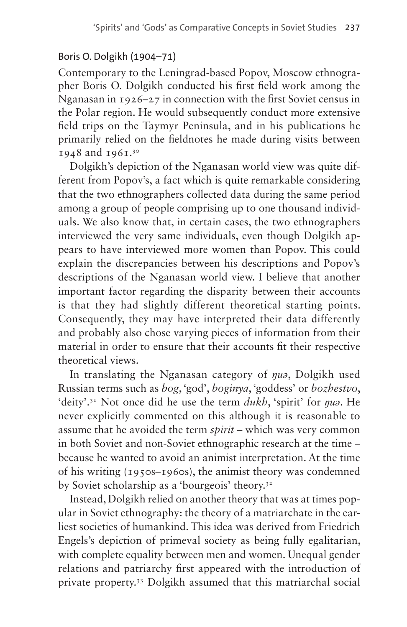#### Boris O. Dolgikh (1904–71)

Contemporary to the Leningrad-based Popov, Moscow ethnographer Boris O. Dolgikh conducted his first field work among the Nganasan in 1926–27 in connection with the first Soviet census in the Polar region. He would subsequently conduct more extensive field trips on the Taymyr Peninsula, and in his publications he primarily relied on the fieldnotes he made during visits between 1948 and 1961[.30](#page-23-10)

Dolgikh's depiction of the Nganasan world view was quite different from Popov's, a fact which is quite remarkable considering that the two ethnographers collected data during the same period among a group of people comprising up to one thousand individuals. We also know that, in certain cases, the two ethnographers interviewed the very same individuals, even though Dolgikh appears to have interviewed more women than Popov. This could explain the discrepancies between his descriptions and Popov's descriptions of the Nganasan world view. I believe that another important factor regarding the disparity between their accounts is that they had slightly different theoretical starting points. Consequently, they may have interpreted their data differently and probably also chose varying pieces of information from their material in order to ensure that their accounts fit their respective theoretical views.

In translating the Nganasan category of *ŋuə*, Dolgikh used Russian terms such as *bog*, 'god', *boginya*, 'goddess' or *bozhestvo*, 'deity'.[31](#page-24-0) Not once did he use the term *dukh*, 'spirit' for *ŋuə*. He never explicitly commented on this although it is reasonable to assume that he avoided the term *spirit* – which was very common in both Soviet and non-Soviet ethnographic research at the time – because he wanted to avoid an animist interpretation. At the time of his writing (1950s–1960s), the animist theory was condemned by Soviet scholarship as a 'bourgeois' theory.<sup>32</sup>

Instead, Dolgikh relied on another theory that was at times popular in Soviet ethnography: the theory of a matriarchate in the earliest societies of humankind. This idea was derived from Friedrich Engels's depiction of primeval society as being fully egalitarian, with complete equality between men and women. Unequal gender relations and patriarchy first appeared with the introduction of private property[.33](#page-24-2) Dolgikh assumed that this matriarchal social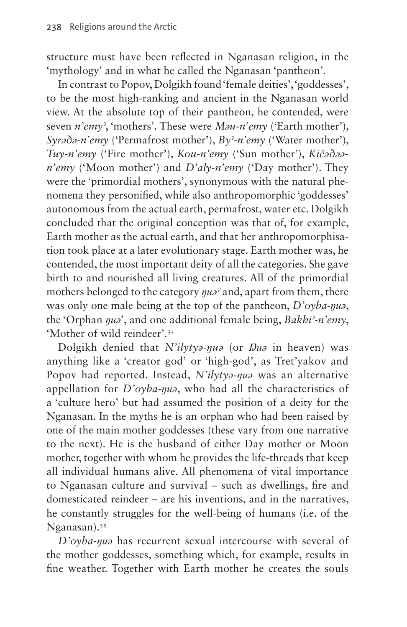structure must have been reflected in Nganasan religion, in the 'mythology' and in what he called the Nganasan 'pantheon'.

In contrast to Popov, Dolgikh found 'female deities', 'goddesses', to be the most high-ranking and ancient in the Nganasan world view. At the absolute top of their pantheon, he contended, were seven *n'emyˀ*, 'mothers'. These were *Məu-n'emy* ('Earth mother'), *Syrəðə-n'emy* ('Permafrost mother'), *Byˀ-n'emy* ('Water mother'), *Tuy-n'emy* ('Fire mother'), *Kou-n'emy* ('Sun mother'), *Kičəðəən'emy* ('Moon mother') and *D'aly-n'emy* ('Day mother'). They were the 'primordial mothers', synonymous with the natural phenomena they personified, while also anthropomorphic 'goddesses' autonomous from the actual earth, permafrost, water etc. Dolgikh concluded that the original conception was that of, for example, Earth mother as the actual earth, and that her anthropomorphisation took place at a later evolutionary stage. Earth mother was, he contended, the most important deity of all the categories. She gave birth to and nourished all living creatures. All of the primordial mothers belonged to the category *ŋuəˀ* and, apart from them, there was only one male being at the top of the pantheon, *D'oyba-ŋuə*, the 'Orphan *ŋuə*', and one additional female being, *Bakhiˀ*-*n'emy*, 'Mother of wild reindeer'[.34](#page-24-3)

Dolgikh denied that *N'ilytyə-ŋuə* (or *Ŋuə* in heaven) was anything like a 'creator god' or 'high-god', as Tret'yakov and Popov had reported. Instead, *N'ilytyə-ŋuə* was an alternative appellation for *D'oyba-ŋuə*, who had all the characteristics of a 'culture hero' but had assumed the position of a deity for the Nganasan. In the myths he is an orphan who had been raised by one of the main mother goddesses (these vary from one narrative to the next). He is the husband of either Day mother or Moon mother, together with whom he provides the life-threads that keep all individual humans alive. All phenomena of vital importance to Nganasan culture and survival – such as dwellings, fire and domesticated reindeer – are his inventions, and in the narratives, he constantly struggles for the well-being of humans (i.e. of the Nganasan)[.35](#page-24-4)

*D'oyba-ŋuə* has recurrent sexual intercourse with several of the mother goddesses, something which, for example, results in fine weather. Together with Earth mother he creates the souls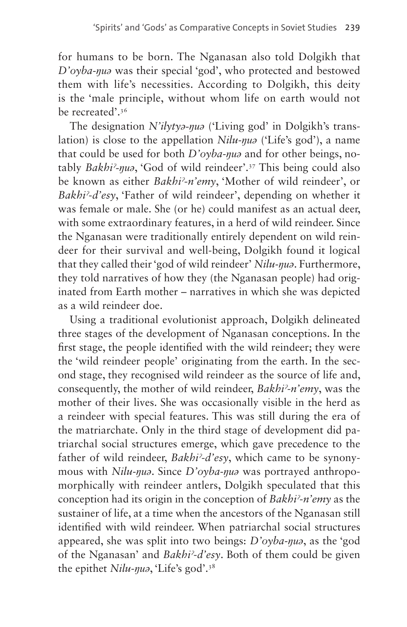for humans to be born. The Nganasan also told Dolgikh that *D'oyba-ŋuə* was their special 'god', who protected and bestowed them with life's necessities. According to Dolgikh, this deity is the 'male principle, without whom life on earth would not be recreated'[.36](#page-24-5)

The designation *N'ilytyə-ŋuə* ('Living god' in Dolgikh's translation) is close to the appellation *Nilu-ŋuə* ('Life's god'), a name that could be used for both *D'oyba-ŋuə* and for other beings, notably *Bakhiˀ-ŋuə*, 'God of wild reindeer'.[37](#page-24-6) This being could also be known as either *Bakhiˀ*-*n'emy*, 'Mother of wild reindeer', or *Bakhiˀ*-*d'esy*, 'Father of wild reindeer', depending on whether it was female or male. She (or he) could manifest as an actual deer, with some extraordinary features, in a herd of wild reindeer. Since the Nganasan were traditionally entirely dependent on wild reindeer for their survival and well-being, Dolgikh found it logical that they called their 'god of wild reindeer' *Nilu-ŋuə*. Furthermore, they told narratives of how they (the Nganasan people) had originated from Earth mother – narratives in which she was depicted as a wild reindeer doe.

Using a traditional evolutionist approach, Dolgikh delineated three stages of the development of Nganasan conceptions. In the first stage, the people identified with the wild reindeer; they were the 'wild reindeer people' originating from the earth. In the second stage, they recognised wild reindeer as the source of life and, consequently, the mother of wild reindeer, *Bakhiˀ*-*n'emy*, was the mother of their lives. She was occasionally visible in the herd as a reindeer with special features. This was still during the era of the matriarchate. Only in the third stage of development did patriarchal social structures emerge, which gave precedence to the father of wild reindeer, *Bakhiˀ*-*d'esy*, which came to be synonymous with *Nilu-ŋuə*. Since *D'oyba-ŋuə* was portrayed anthropomorphically with reindeer antlers, Dolgikh speculated that this conception had its origin in the conception of *Bakhiˀ*-*n'emy* as the sustainer of life, at a time when the ancestors of the Nganasan still identified with wild reindeer. When patriarchal social structures appeared, she was split into two beings: *D'oyba-ŋuə*, as the 'god of the Nganasan' and *Bakhiˀ*-*d'esy*. Both of them could be given the epithet *Nilu-ŋuə*, 'Life's god'[.38](#page-24-7)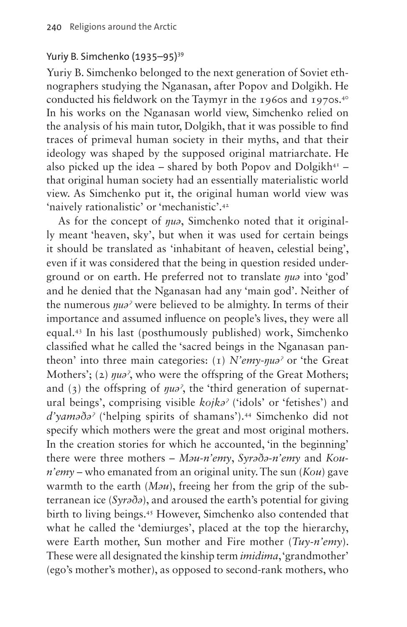#### Yuriy B. Simchenko (1935–95)<sup>39</sup>

Yuriy B. Simchenko belonged to the next generation of Soviet ethnographers studying the Nganasan, after Popov and Dolgikh. He conducted his fieldwork on the Taymyr in the 1960s and 1970s[.40](#page-24-9) In his works on the Nganasan world view, Simchenko relied on the analysis of his main tutor, Dolgikh, that it was possible to find traces of primeval human society in their myths, and that their ideology was shaped by the supposed original matriarchate. He also picked up the idea – shared by both Popov and Dolgikh $4<sup>T</sup>$  – that original human society had an essentially materialistic world view. As Simchenko put it, the original human world view was 'naively rationalistic' or 'mechanistic'.[42](#page-24-11)

As for the concept of *ŋuə*, Simchenko noted that it originally meant 'heaven, sky', but when it was used for certain beings it should be translated as 'inhabitant of heaven, celestial being', even if it was considered that the being in question resided underground or on earth. He preferred not to translate *ŋuə* into 'god' and he denied that the Nganasan had any 'main god'. Neither of the numerous *ŋuəˀ* were believed to be almighty. In terms of their importance and assumed influence on people's lives, they were all equal[.43](#page-24-12) In his last (posthumously published) work, Simchenko classified what he called the 'sacred beings in the Nganasan pantheon' into three main categories: (1) *N'emy*-*ŋuəˀ* or 'the Great Mothers'; (2)  $\eta u \partial^2$ , who were the offspring of the Great Mothers; and (3) the offspring of *ŋuəˀ*, the 'third generation of supernatural beings', comprising visible *kojkəˀ* ('idols' or 'fetishes') and *d'yaməðəˀ* ('helping spirits of shamans').[44](#page-24-13) Simchenko did not specify which mothers were the great and most original mothers. In the creation stories for which he accounted, 'in the beginning' there were three mothers – *Məu-n'emy*, *Syrəðə-n'emy* and *Koun'emy* – who emanated from an original unity. The sun (*Kou*) gave warmth to the earth (*Məu*), freeing her from the grip of the subterranean ice (*Syrəðə*), and aroused the earth's potential for giving birth to living beings.[45](#page-24-14) However, Simchenko also contended that what he called the 'demiurges', placed at the top the hierarchy, were Earth mother, Sun mother and Fire mother (*Tuy-n'emy*). These were all designated the kinship term *imidima*, 'grandmother' (ego's mother's mother), as opposed to second-rank mothers, who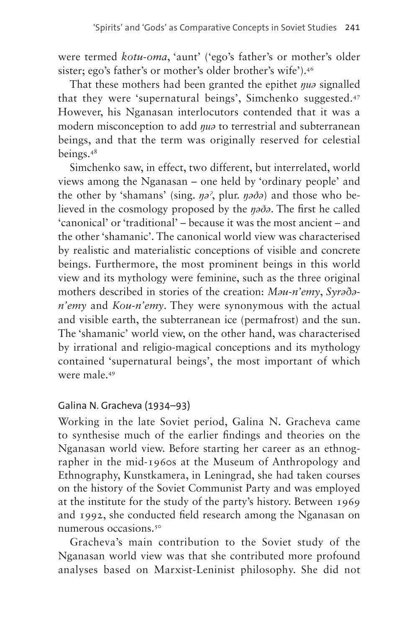were termed *kotu-oma*, 'aunt' ('ego's father's or mother's older sister; ego's father's or mother's older brother's wife')[.46](#page-24-15)

That these mothers had been granted the epithet *ŋuə* signalled that they were 'supernatural beings', Simchenko suggested.[47](#page-24-16) However, his Nganasan interlocutors contended that it was a modern misconception to add *ŋuə* to terrestrial and subterranean beings, and that the term was originally reserved for celestial beings[.48](#page-24-17)

Simchenko saw, in effect, two different, but interrelated, world views among the Nganasan – one held by 'ordinary people' and the other by 'shamans' (sing. *ŋəˀ*, plur. *ŋəðə*) and those who believed in the cosmology proposed by the *ŋəðə*. The first he called 'canonical' or 'traditional' – because it was the most ancient – and the other 'shamanic'. The canonical world view was characterised by realistic and materialistic conceptions of visible and concrete beings. Furthermore, the most prominent beings in this world view and its mythology were feminine, such as the three original mothers described in stories of the creation: *Məu-n'emy*, *Syrəðən'emy* and *Kou-n'emy*. They were synonymous with the actual and visible earth, the subterranean ice (permafrost) and the sun. The 'shamanic' world view, on the other hand, was characterised by irrational and religio-magical conceptions and its mythology contained 'supernatural beings', the most important of which were male.[49](#page-24-18)

#### Galina N. Gracheva (1934–93)

Working in the late Soviet period, Galina N. Gracheva came to synthesise much of the earlier findings and theories on the Nganasan world view. Before starting her career as an ethnographer in the mid-1960s at the Museum of Anthropology and Ethnography, Kunstkamera, in Leningrad, she had taken courses on the history of the Soviet Communist Party and was employed at the institute for the study of the party's history. Between 1969 and 1992, she conducted field research among the Nganasan on numerous occasions.[50](#page-25-0)

Gracheva's main contribution to the Soviet study of the Nganasan world view was that she contributed more profound analyses based on Marxist-Leninist philosophy. She did not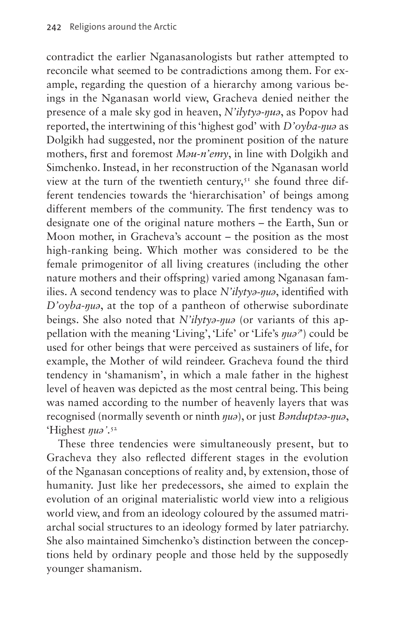contradict the earlier Nganasanologists but rather attempted to reconcile what seemed to be contradictions among them. For example, regarding the question of a hierarchy among various beings in the Nganasan world view, Gracheva denied neither the presence of a male sky god in heaven, *N'ilytyə-ŋuə*, as Popov had reported, the intertwining of this 'highest god' with *D'oyba*-*ŋuə* as Dolgikh had suggested, nor the prominent position of the nature mothers, first and foremost *Məu-n'emy*, in line with Dolgikh and Simchenko. Instead, in her reconstruction of the Nganasan world view at the turn of the twentieth century,<sup>[51](#page-25-1)</sup> she found three different tendencies towards the 'hierarchisation' of beings among different members of the community. The first tendency was to designate one of the original nature mothers – the Earth, Sun or Moon mother, in Gracheva's account – the position as the most high-ranking being. Which mother was considered to be the female primogenitor of all living creatures (including the other nature mothers and their offspring) varied among Nganasan families. A second tendency was to place *N'ilytyə-ŋuə*, identified with *D'oyba*-*ŋuə*, at the top of a pantheon of otherwise subordinate beings. She also noted that *N'ilytyə-ŋuə* (or variants of this appellation with the meaning 'Living', 'Life' or 'Life's *ŋuəˀ*') could be used for other beings that were perceived as sustainers of life, for example, the Mother of wild reindeer. Gracheva found the third tendency in 'shamanism', in which a male father in the highest level of heaven was depicted as the most central being. This being was named according to the number of heavenly layers that was recognised (normally seventh or ninth *ŋuə*), or just *Bənduptəə-ŋuə*, 'Highest *ŋuə'*. [52](#page-25-2)

These three tendencies were simultaneously present, but to Gracheva they also reflected different stages in the evolution of the Nganasan conceptions of reality and, by extension, those of humanity. Just like her predecessors, she aimed to explain the evolution of an original materialistic world view into a religious world view, and from an ideology coloured by the assumed matriarchal social structures to an ideology formed by later patriarchy. She also maintained Simchenko's distinction between the conceptions held by ordinary people and those held by the supposedly younger shamanism.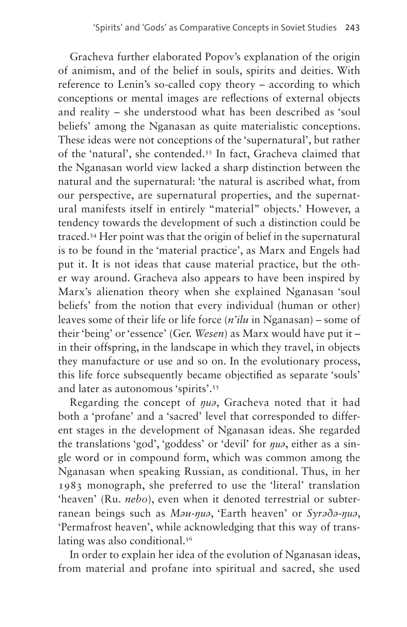Gracheva further elaborated Popov's explanation of the origin of animism, and of the belief in souls, spirits and deities. With reference to Lenin's so-called copy theory – according to which conceptions or mental images are reflections of external objects and reality – she understood what has been described as 'soul beliefs' among the Nganasan as quite materialistic conceptions. These ideas were not conceptions of the 'supernatural', but rather of the 'natural', she contended[.53](#page-25-3) In fact, Gracheva claimed that the Nganasan world view lacked a sharp distinction between the natural and the supernatural: 'the natural is ascribed what, from our perspective, are supernatural properties, and the supernatural manifests itself in entirely "material" objects.' However, a tendency towards the development of such a distinction could be traced.[54](#page-25-4) Her point was that the origin of belief in the supernatural is to be found in the 'material practice', as Marx and Engels had put it. It is not ideas that cause material practice, but the other way around. Gracheva also appears to have been inspired by Marx's alienation theory when she explained Nganasan 'soul beliefs' from the notion that every individual (human or other) leaves some of their life or life force (*n'ilu* in Nganasan) – some of their 'being' or 'essence' (Ger. *Wesen*) as Marx would have put it – in their offspring, in the landscape in which they travel, in objects they manufacture or use and so on. In the evolutionary process, this life force subsequently became objectified as separate 'souls' and later as autonomous 'spirits'[.55](#page-25-5)

Regarding the concept of *ŋuə*, Gracheva noted that it had both a 'profane' and a 'sacred' level that corresponded to different stages in the development of Nganasan ideas. She regarded the translations 'god', 'goddess' or 'devil' for *ŋuə*, either as a single word or in compound form, which was common among the Nganasan when speaking Russian, as conditional. Thus, in her 1983 monograph, she preferred to use the 'literal' translation 'heaven' (Ru. *nebo*), even when it denoted terrestrial or subterranean beings such as *Məu-ŋuə*, 'Earth heaven' or *Syrəðə-ŋuə*, 'Permafrost heaven', while acknowledging that this way of trans-lating was also conditional.<sup>[56](#page-25-6)</sup>

In order to explain her idea of the evolution of Nganasan ideas, from material and profane into spiritual and sacred, she used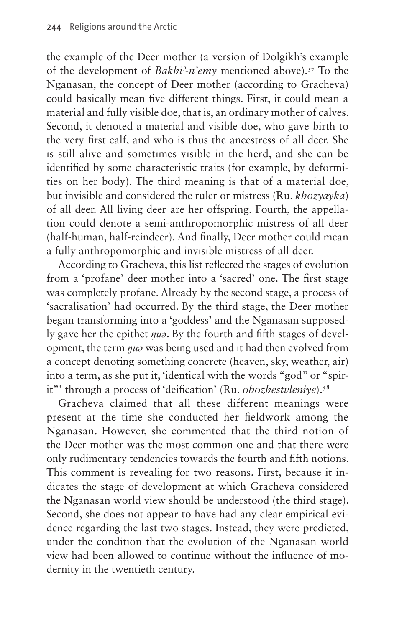the example of the Deer mother (a version of Dolgikh's example of the development of *Bakhiˀ*-*n'emy* mentioned above)[.57](#page-25-7) To the Nganasan, the concept of Deer mother (according to Gracheva) could basically mean five different things. First, it could mean a material and fully visible doe, that is, an ordinary mother of calves. Second, it denoted a material and visible doe, who gave birth to the very first calf, and who is thus the ancestress of all deer. She is still alive and sometimes visible in the herd, and she can be identified by some characteristic traits (for example, by deformities on her body). The third meaning is that of a material doe, but invisible and considered the ruler or mistress (Ru. *khozyayka*) of all deer. All living deer are her offspring. Fourth, the appellation could denote a semi-anthropomorphic mistress of all deer (half-human, half-reindeer). And finally, Deer mother could mean a fully anthropomorphic and invisible mistress of all deer.

According to Gracheva, this list reflected the stages of evolution from a 'profane' deer mother into a 'sacred' one. The first stage was completely profane. Already by the second stage, a process of 'sacralisation' had occurred. By the third stage, the Deer mother began transforming into a 'goddess' and the Nganasan supposedly gave her the epithet *ŋuə*. By the fourth and fifth stages of development, the term *ŋuə* was being used and it had then evolved from a concept denoting something concrete (heaven, sky, weather, air) into a term, as she put it, 'identical with the words "god" or "spirit"' through a process of 'deification' (Ru. *obozhestvleniye*).<sup>[58](#page-25-8)</sup>

Gracheva claimed that all these different meanings were present at the time she conducted her fieldwork among the Nganasan. However, she commented that the third notion of the Deer mother was the most common one and that there were only rudimentary tendencies towards the fourth and fifth notions. This comment is revealing for two reasons. First, because it indicates the stage of development at which Gracheva considered the Nganasan world view should be understood (the third stage). Second, she does not appear to have had any clear empirical evidence regarding the last two stages. Instead, they were predicted, under the condition that the evolution of the Nganasan world view had been allowed to continue without the influence of modernity in the twentieth century.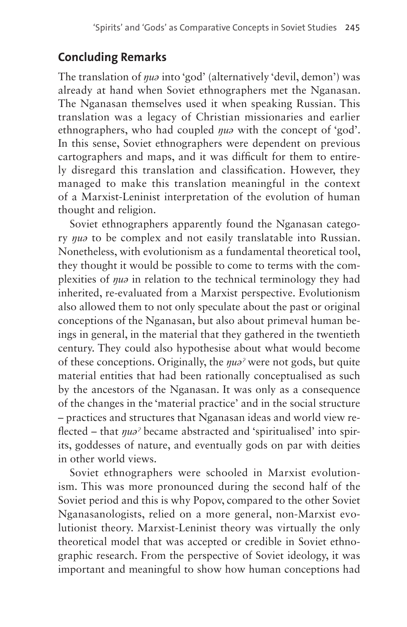## **Concluding Remarks**

The translation of *ŋuə* into 'god' (alternatively 'devil, demon') was already at hand when Soviet ethnographers met the Nganasan. The Nganasan themselves used it when speaking Russian. This translation was a legacy of Christian missionaries and earlier ethnographers, who had coupled *ŋuə* with the concept of 'god'. In this sense, Soviet ethnographers were dependent on previous cartographers and maps, and it was difficult for them to entirely disregard this translation and classification. However, they managed to make this translation meaningful in the context of a Marxist-Leninist interpretation of the evolution of human thought and religion.

Soviet ethnographers apparently found the Nganasan category *ŋuə* to be complex and not easily translatable into Russian. Nonetheless, with evolutionism as a fundamental theoretical tool, they thought it would be possible to come to terms with the complexities of *ŋuə* in relation to the technical terminology they had inherited, re-evaluated from a Marxist perspective. Evolutionism also allowed them to not only speculate about the past or original conceptions of the Nganasan, but also about primeval human beings in general, in the material that they gathered in the twentieth century. They could also hypothesise about what would become of these conceptions. Originally, the *ŋuəˀ* were not gods, but quite material entities that had been rationally conceptualised as such by the ancestors of the Nganasan. It was only as a consequence of the changes in the 'material practice' and in the social structure – practices and structures that Nganasan ideas and world view reflected – that *ŋuəˀ* became abstracted and 'spiritualised' into spirits, goddesses of nature, and eventually gods on par with deities in other world views.

Soviet ethnographers were schooled in Marxist evolutionism. This was more pronounced during the second half of the Soviet period and this is why Popov, compared to the other Soviet Nganasanologists, relied on a more general, non-Marxist evolutionist theory. Marxist-Leninist theory was virtually the only theoretical model that was accepted or credible in Soviet ethnographic research. From the perspective of Soviet ideology, it was important and meaningful to show how human conceptions had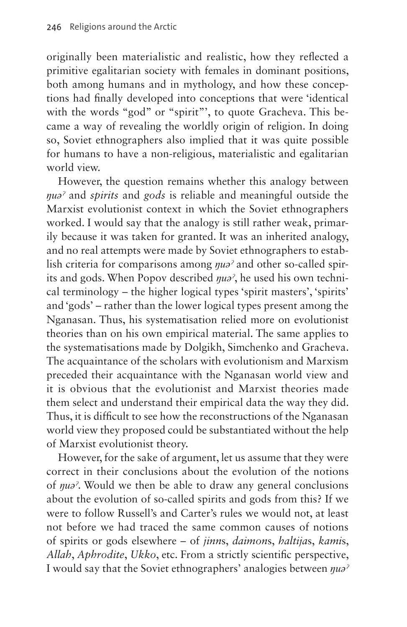originally been materialistic and realistic, how they reflected a primitive egalitarian society with females in dominant positions, both among humans and in mythology, and how these conceptions had finally developed into conceptions that were 'identical with the words "god" or "spirit"', to quote Gracheva. This became a way of revealing the worldly origin of religion. In doing so, Soviet ethnographers also implied that it was quite possible for humans to have a non-religious, materialistic and egalitarian world view.

However, the question remains whether this analogy between *ŋuəˀ* and *spirits* and *gods* is reliable and meaningful outside the Marxist evolutionist context in which the Soviet ethnographers worked. I would say that the analogy is still rather weak, primarily because it was taken for granted. It was an inherited analogy, and no real attempts were made by Soviet ethnographers to establish criteria for comparisons among *ŋuəˀ* and other so-called spirits and gods. When Popov described *ŋuəˀ*, he used his own technical terminology – the higher logical types 'spirit masters', 'spirits' and 'gods' – rather than the lower logical types present among the Nganasan. Thus, his systematisation relied more on evolutionist theories than on his own empirical material. The same applies to the systematisations made by Dolgikh, Simchenko and Gracheva. The acquaintance of the scholars with evolutionism and Marxism preceded their acquaintance with the Nganasan world view and it is obvious that the evolutionist and Marxist theories made them select and understand their empirical data the way they did. Thus, it is difficult to see how the reconstructions of the Nganasan world view they proposed could be substantiated without the help of Marxist evolutionist theory.

However, for the sake of argument, let us assume that they were correct in their conclusions about the evolution of the notions of *ŋuəˀ*. Would we then be able to draw any general conclusions about the evolution of so-called spirits and gods from this? If we were to follow Russell's and Carter's rules we would not, at least not before we had traced the same common causes of notions of spirits or gods elsewhere – of *jinn*s, *daimon*s, *haltija*s, *kami*s, *Allah*, *Aphrodite*, *Ukko*, etc. From a strictly scientific perspective, I would say that the Soviet ethnographers' analogies between *ŋuəˀ*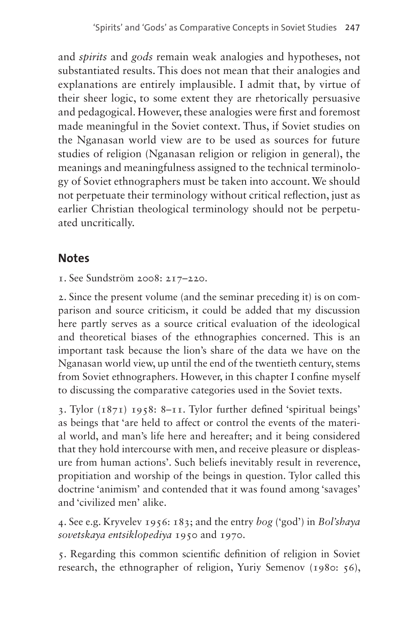and *spirits* and *gods* remain weak analogies and hypotheses, not substantiated results. This does not mean that their analogies and explanations are entirely implausible. I admit that, by virtue of their sheer logic, to some extent they are rhetorically persuasive and pedagogical. However, these analogies were first and foremost made meaningful in the Soviet context. Thus, if Soviet studies on the Nganasan world view are to be used as sources for future studies of religion (Nganasan religion or religion in general), the meanings and meaningfulness assigned to the technical terminology of Soviet ethnographers must be taken into account. We should not perpetuate their terminology without critical reflection, just as earlier Christian theological terminology should not be perpetuated uncritically.

### **Notes**

<span id="page-20-0"></span>1. See Sundström 2008: 217–220.

<span id="page-20-1"></span>2. Since the present volume (and the seminar preceding it) is on comparison and source criticism, it could be added that my discussion here partly serves as a source critical evaluation of the ideological and theoretical biases of the ethnographies concerned. This is an important task because the lion's share of the data we have on the Nganasan world view, up until the end of the twentieth century, stems from Soviet ethnographers. However, in this chapter I confine myself to discussing the comparative categories used in the Soviet texts.

<span id="page-20-2"></span>3. Tylor (1871) 1958: 8–11. Tylor further defined 'spiritual beings' as beings that 'are held to affect or control the events of the material world, and man's life here and hereafter; and it being considered that they hold intercourse with men, and receive pleasure or displeasure from human actions'. Such beliefs inevitably result in reverence, propitiation and worship of the beings in question. Tylor called this doctrine 'animism' and contended that it was found among 'savages' and 'civilized men' alike.

<span id="page-20-3"></span>4. See e.g. Kryvelev 1956: 183; and the entry *bog* ('god') in *Bol'shaya sovetskaya entsiklopediya* 1950 and 1970.

<span id="page-20-4"></span>5. Regarding this common scientific definition of religion in Soviet research, the ethnographer of religion, Yuriy Semenov (1980: 56),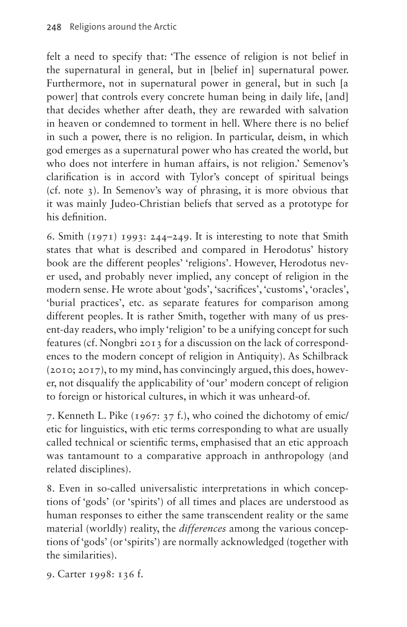felt a need to specify that: 'The essence of religion is not belief in the supernatural in general, but in [belief in] supernatural power. Furthermore, not in supernatural power in general, but in such [a power] that controls every concrete human being in daily life, [and] that decides whether after death, they are rewarded with salvation in heaven or condemned to torment in hell. Where there is no belief in such a power, there is no religion. In particular, deism, in which god emerges as a supernatural power who has created the world, but who does not interfere in human affairs, is not religion.' Semenov's clarification is in accord with Tylor's concept of spiritual beings (cf. note 3). In Semenov's way of phrasing, it is more obvious that it was mainly Judeo-Christian beliefs that served as a prototype for his definition.

<span id="page-21-0"></span>6. Smith  $(1971)$  1993: 244–249. It is interesting to note that Smith states that what is described and compared in Herodotus' history book are the different peoples' 'religions'. However, Herodotus never used, and probably never implied, any concept of religion in the modern sense. He wrote about 'gods', 'sacrifices', 'customs', 'oracles', 'burial practices', etc. as separate features for comparison among different peoples. It is rather Smith, together with many of us present-day readers, who imply 'religion' to be a unifying concept for such features (cf. Nongbri 2013 for a discussion on the lack of correspondences to the modern concept of religion in Antiquity). As Schilbrack (2010; 2017), to my mind, has convincingly argued, this does, however, not disqualify the applicability of 'our' modern concept of religion to foreign or historical cultures, in which it was unheard-of.

<span id="page-21-1"></span>7. Kenneth L. Pike (1967: 37 f.), who coined the dichotomy of emic/ etic for linguistics, with etic terms corresponding to what are usually called technical or scientific terms, emphasised that an etic approach was tantamount to a comparative approach in anthropology (and related disciplines).

<span id="page-21-2"></span>8. Even in so-called universalistic interpretations in which conceptions of 'gods' (or 'spirits') of all times and places are understood as human responses to either the same transcendent reality or the same material (worldly) reality, the *differences* among the various conceptions of 'gods' (or 'spirits') are normally acknowledged (together with the similarities).

<span id="page-21-3"></span>9. Carter 1998: 136 f.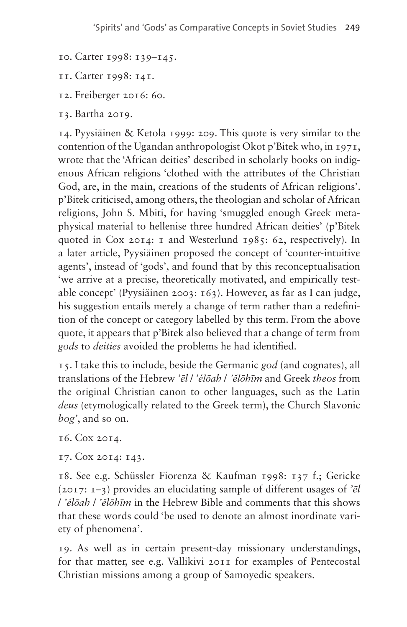- <span id="page-22-0"></span>10. Carter 1998: 139–145.
- <span id="page-22-1"></span>11. Carter 1998: 141.
- <span id="page-22-2"></span>12. Freiberger 2016: 60.
- <span id="page-22-3"></span>13. Bartha 2019.

<span id="page-22-4"></span>14. Pyysiäinen & Ketola 1999: 209. This quote is very similar to the contention of the Ugandan anthropologist Okot p'Bitek who, in 1971, wrote that the 'African deities' described in scholarly books on indigenous African religions 'clothed with the attributes of the Christian God, are, in the main, creations of the students of African religions'. p'Bitek criticised, among others, the theologian and scholar of African religions, John S. Mbiti, for having 'smuggled enough Greek metaphysical material to hellenise three hundred African deities' (p'Bitek quoted in Cox 2014: 1 and Westerlund 1985: 62, respectively). In a later article, Pyysiäinen proposed the concept of 'counter-intuitive agents', instead of 'gods', and found that by this reconceptualisation 'we arrive at a precise, theoretically motivated, and empirically testable concept' (Pyysiäinen 2003: 163). However, as far as I can judge, his suggestion entails merely a change of term rather than a redefinition of the concept or category labelled by this term. From the above quote, it appears that p'Bitek also believed that a change of term from *gods* to *deities* avoided the problems he had identified.

<span id="page-22-5"></span>15. I take this to include, beside the Germanic *god* (and cognates), all translations of the Hebrew *'ēl* / *'élōah* / *'ĕlōhīm* and Greek *theos* from the original Christian canon to other languages, such as the Latin *deus* (etymologically related to the Greek term), the Church Slavonic *bog'*, and so on.

<span id="page-22-6"></span>16. Cox 2014.

<span id="page-22-7"></span>17. Cox 2014: 143.

<span id="page-22-8"></span>18. See e.g. Schüssler Fiorenza & Kaufman 1998: 137 f.; Gericke (2017: 1–3) provides an elucidating sample of different usages of *'ēl*  / *'élōah* / *'ĕlōhīm* in the Hebrew Bible and comments that this shows that these words could 'be used to denote an almost inordinate variety of phenomena'.

<span id="page-22-9"></span>19. As well as in certain present-day missionary understandings, for that matter, see e.g. Vallikivi 2011 for examples of Pentecostal Christian missions among a group of Samoyedic speakers.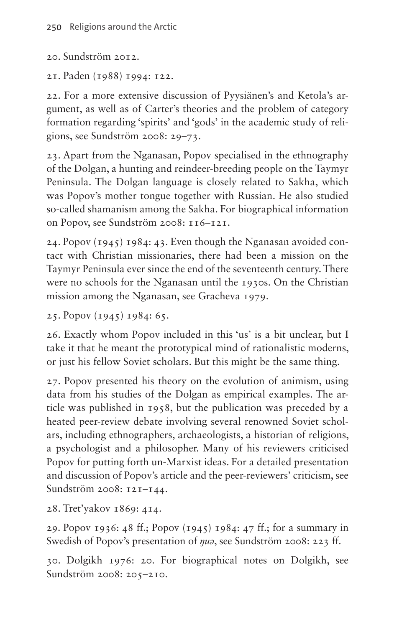<span id="page-23-0"></span>20. Sundström 2012.

<span id="page-23-1"></span>21. Paden (1988) 1994: 122.

<span id="page-23-2"></span>22. For a more extensive discussion of Pyysiänen's and Ketola's argument, as well as of Carter's theories and the problem of category formation regarding 'spirits' and 'gods' in the academic study of religions, see Sundström 2008: 29–73.

<span id="page-23-3"></span>23. Apart from the Nganasan, Popov specialised in the ethnography of the Dolgan, a hunting and reindeer-breeding people on the Taymyr Peninsula. The Dolgan language is closely related to Sakha, which was Popov's mother tongue together with Russian. He also studied so-called shamanism among the Sakha. For biographical information on Popov, see Sundström 2008: 116–121.

<span id="page-23-4"></span>24. Popov (1945) 1984: 43. Even though the Nganasan avoided contact with Christian missionaries, there had been a mission on the Taymyr Peninsula ever since the end of the seventeenth century. There were no schools for the Nganasan until the 1930s. On the Christian mission among the Nganasan, see Gracheva 1979.

<span id="page-23-5"></span>25. Popov (1945) 1984: 65.

<span id="page-23-6"></span>26. Exactly whom Popov included in this 'us' is a bit unclear, but I take it that he meant the prototypical mind of rationalistic moderns, or just his fellow Soviet scholars. But this might be the same thing.

<span id="page-23-7"></span>27. Popov presented his theory on the evolution of animism, using data from his studies of the Dolgan as empirical examples. The article was published in 1958, but the publication was preceded by a heated peer-review debate involving several renowned Soviet scholars, including ethnographers, archaeologists, a historian of religions, a psychologist and a philosopher. Many of his reviewers criticised Popov for putting forth un-Marxist ideas. For a detailed presentation and discussion of Popov's article and the peer-reviewers' criticism, see Sundström 2008: 121–144.

<span id="page-23-8"></span>28. Tret'yakov 1869: 414.

<span id="page-23-9"></span>29. Popov 1936: 48 ff.; Popov (1945) 1984: 47 ff.; for a summary in Swedish of Popov's presentation of *ŋuə*, see Sundström 2008: 223 ff.

<span id="page-23-10"></span>30. Dolgikh 1976: 20. For biographical notes on Dolgikh, see Sundström 2008: 205–210.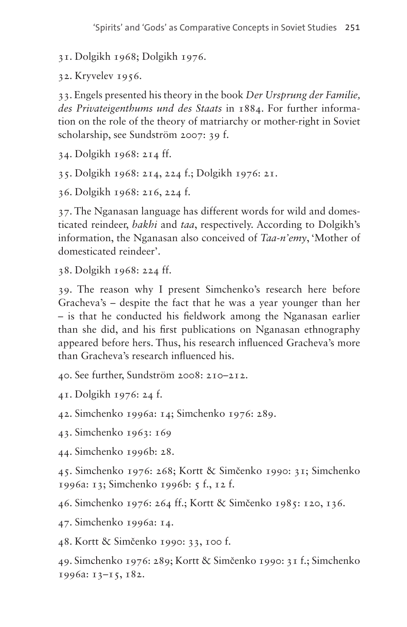<span id="page-24-0"></span>31. Dolgikh 1968; Dolgikh 1976.

<span id="page-24-1"></span>32. Kryvelev 1956.

<span id="page-24-2"></span>33. Engels presented his theory in the book *Der Ursprung der Familie, des Privateigenthums und des Staats* in 1884. For further information on the role of the theory of matriarchy or mother-right in Soviet scholarship, see Sundström 2007: 39 f.

<span id="page-24-3"></span>34. Dolgikh 1968: 214 ff.

<span id="page-24-4"></span>35. Dolgikh 1968: 214, 224 f.; Dolgikh 1976: 21.

<span id="page-24-5"></span>36. Dolgikh 1968: 216, 224 f.

<span id="page-24-6"></span>37. The Nganasan language has different words for wild and domesticated reindeer, *bakhi* and *taa*, respectively. According to Dolgikh's information, the Nganasan also conceived of *Taa-n'emy*, 'Mother of domesticated reindeer'.

<span id="page-24-7"></span>38. Dolgikh 1968: 224 ff.

<span id="page-24-8"></span>39. The reason why I present Simchenko's research here before Gracheva's – despite the fact that he was a year younger than her – is that he conducted his fieldwork among the Nganasan earlier than she did, and his first publications on Nganasan ethnography appeared before hers. Thus, his research influenced Gracheva's more than Gracheva's research influenced his.

<span id="page-24-9"></span>40. See further, Sundström 2008: 210–212.

<span id="page-24-10"></span>41. Dolgikh 1976: 24 f.

<span id="page-24-11"></span>42. Simchenko 1996a: 14; Simchenko 1976: 289.

<span id="page-24-12"></span>43. Simchenko 1963: 169

<span id="page-24-13"></span>44. Simchenko 1996b: 28.

<span id="page-24-14"></span>45. Simchenko 1976: 268; Kortt & Simčenko 1990: 31; Simchenko 1996a: 13; Simchenko 1996b: 5 f., 12 f.

<span id="page-24-15"></span>46. Simchenko 1976: 264 ff.; Kortt & Simčenko 1985: 120, 136.

<span id="page-24-16"></span>47. Simchenko 1996a: 14.

<span id="page-24-17"></span>48. Kortt & Simčenko 1990: 33, 100 f.

<span id="page-24-18"></span>49. Simchenko 1976: 289; Kortt & Simčenko 1990: 31 f.; Simchenko 1996a: 13–15, 182.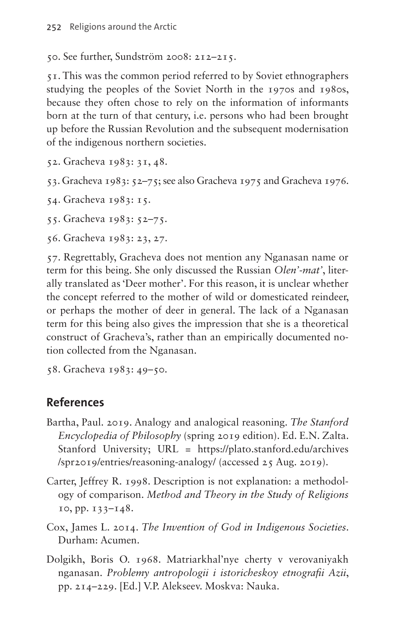<span id="page-25-0"></span>50. See further, Sundström 2008: 212–215.

<span id="page-25-1"></span>51. This was the common period referred to by Soviet ethnographers studying the peoples of the Soviet North in the 1970s and 1980s, because they often chose to rely on the information of informants born at the turn of that century, i.e. persons who had been brought up before the Russian Revolution and the subsequent modernisation of the indigenous northern societies.

- <span id="page-25-2"></span>52. Gracheva 1983: 31, 48.
- <span id="page-25-3"></span>53. Gracheva 1983: 52–75; see also Gracheva 1975 and Gracheva 1976.

<span id="page-25-4"></span>54. Gracheva 1983: 15.

<span id="page-25-5"></span>55. Gracheva 1983: 52–75.

<span id="page-25-6"></span>56. Gracheva 1983: 23, 27.

<span id="page-25-7"></span>57. Regrettably, Gracheva does not mention any Nganasan name or term for this being. She only discussed the Russian *Olen'-mat'*, literally translated as 'Deer mother'. For this reason, it is unclear whether the concept referred to the mother of wild or domesticated reindeer, or perhaps the mother of deer in general. The lack of a Nganasan term for this being also gives the impression that she is a theoretical construct of Gracheva's, rather than an empirically documented notion collected from the Nganasan.

<span id="page-25-8"></span>58. Gracheva 1983: 49–50.

### **References**

- Bartha, Paul. 2019. Analogy and analogical reasoning. *The Stanford Encyclopedia of Philosophy* (spring 2019 edition). Ed. E.N. Zalta. Stanford University; URL = [https://plato.stanford.edu/archives](https://plato.stanford.edu/archives/spr2019/entries/reasoning-analogy/) [/spr2019/entries/reasoning-analogy/](https://plato.stanford.edu/archives/spr2019/entries/reasoning-analogy/) (accessed 25 Aug. 2019).
- Carter, Jeffrey R. 1998. Description is not explanation: a methodology of comparison. *Method and Theory in the Study of Religions* 10, pp. 133–148.
- Cox, James L. 2014. *The Invention of God in Indigenous Societies*. Durham: Acumen.
- Dolgikh, Boris O. 1968. Matriarkhal'nye cherty v verovaniyakh nganasan. *Problemy antropologii i istoricheskoy etnografii Azii*, pp. 214–229. [Ed.] V.P. Alekseev. Moskva: Nauka.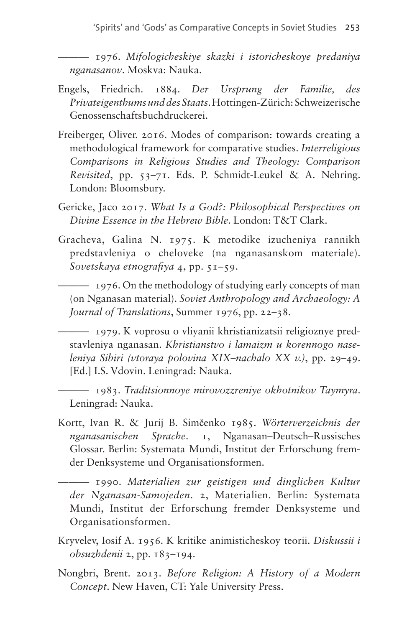——— 1976. *Mifologicheskiye skazki i istoricheskoye predaniya nganasanov*. Moskva: Nauka.

- Engels, Friedrich. 1884. *Der Ursprung der Familie, des Privateigenthums und des Staats*. Hottingen-Zürich: Schweizerische Genossenschaftsbuchdruckerei.
- Freiberger, Oliver. 2016. Modes of comparison: towards creating a methodological framework for comparative studies. *Interreligious Comparisons in Religious Studies and Theology: Comparison Revisited*, pp. 53–71. Eds. P. Schmidt-Leukel & A. Nehring. London: Bloomsbury.
- Gericke, Jaco 2017. *What Is a God?: Philosophical Perspectives on Divine Essence in the Hebrew Bible*. London: T&T Clark.
- Gracheva, Galina N. 1975. K metodike izucheniya rannikh predstavleniya o cheloveke (na nganasanskom materiale). *Sovetskaya etnografiya* 4, pp. 51–59.

——— 1976. On the methodology of studying early concepts of man (on Nganasan material). *Soviet Anthropology and Archaeology: A Journal of Translations*, Summer 1976, pp. 22–38.

——— 1979. K voprosu o vliyanii khristianizatsii religioznye predstavleniya nganasan. *Khristianstvo i lamaizm u korennogo naseleniya Sibiri (vtoraya polovina XIX–nachalo XX v.)*, pp. 29–49. [Ed.] I.S. Vdovin. Leningrad: Nauka.

——— 1983. *Traditsionnoye mirovozzreniye okhotnikov Taymyra*. Leningrad: Nauka.

Kortt, Ivan R. & Jurij B. Simčenko 1985. *Wörterverzeichnis der nganasanischen Sprache*. 1, Nganasan–Deutsch–Russisches Glossar. Berlin: Systemata Mundi, Institut der Erforschung fremder Denksysteme und Organisationsformen.

——— 1990. *Materialien zur geistigen und dinglichen Kultur der Nganasan-Samojeden*. 2, Materialien. Berlin: Systemata Mundi, Institut der Erforschung fremder Denksysteme und Organisationsformen.

- Kryvelev, Iosif A. 1956. K kritike animisticheskoy teorii. *Diskussii i obsuzhdenii* 2, pp. 183–194.
- Nongbri, Brent. 2013. *Before Religion: A History of a Modern Concept*. New Haven, CT: Yale University Press.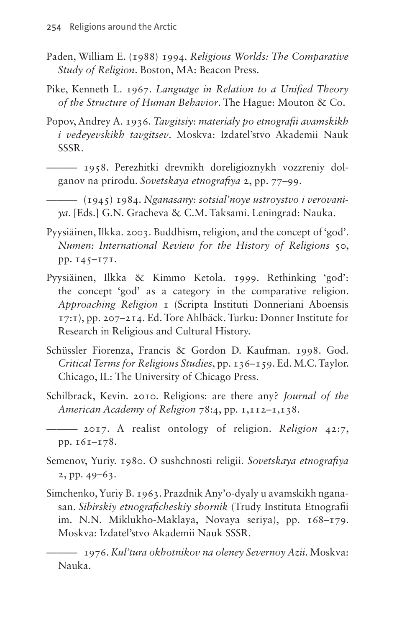- Paden, William E. (1988) 1994. *Religious Worlds: The Comparative Study of Religion*. Boston, MA: Beacon Press.
- Pike, Kenneth L. 1967. *Language in Relation to a Unified Theory of the Structure of Human Behavior*. The Hague: Mouton & Co.
- Popov, Andrey A. 1936. *Tavgitsiy: materialy po etnografii avamskikh i vedeyevskikh tavgitsev*. Moskva: Izdatel'stvo Akademii Nauk SSSR.
	- ——— 1958. Perezhitki drevnikh doreligioznykh vozzreniy dolganov na prirodu. *Sovetskaya etnografiya* 2, pp. 77–99.
- ——— (1945) 1984. *Nganasany: sotsial'noye ustroystvo i verovaniya*. [Eds.] G.N. Gracheva & C.M. Taksami. Leningrad: Nauka.
- Pyysiäinen, Ilkka. 2003. Buddhism, religion, and the concept of 'god'. *Numen: International Review for the History of Religions* 50, pp. 145–171.
- Pyysiäinen, Ilkka & Kimmo Ketola. 1999. Rethinking 'god': the concept 'god' as a category in the comparative religion. *Approaching Religion* 1 (Scripta Instituti Donneriani Aboensis 17:1), pp. 207–214. Ed. Tore Ahlbäck. Turku: Donner Institute for Research in Religious and Cultural History.
- Schüssler Fiorenza, Francis & Gordon D. Kaufman. 1998. God. *Critical Terms for Religious Studies*, pp. 136–159. Ed. M.C. Taylor. Chicago, IL: The University of Chicago Press.
- Schilbrack, Kevin. 2010. Religions: are there any? *Journal of the American Academy of Religion* 78:4, pp. 1,112–1,138.
	- ——— 2017. A realist ontology of religion. *Religion* 42:7, pp. 161–178.
- Semenov, Yuriy. 1980. O sushchnosti religii. *Sovetskaya etnografiya* 2, pp. 49–63.
- Simchenko, Yuriy B. 1963. Prazdnik Any'o-dyaly u avamskikh nganasan. *Sibirskiy etnograficheskiy sbornik* (Trudy Instituta Etnografii im. N.N. Miklukho-Maklaya, Novaya seriya), pp. 168–179. Moskva: Izdatel'stvo Akademii Nauk SSSR.

——— 1976. *Kul'tura okhotnikov na oleney Severnoy Azii*. Moskva: Nauka.